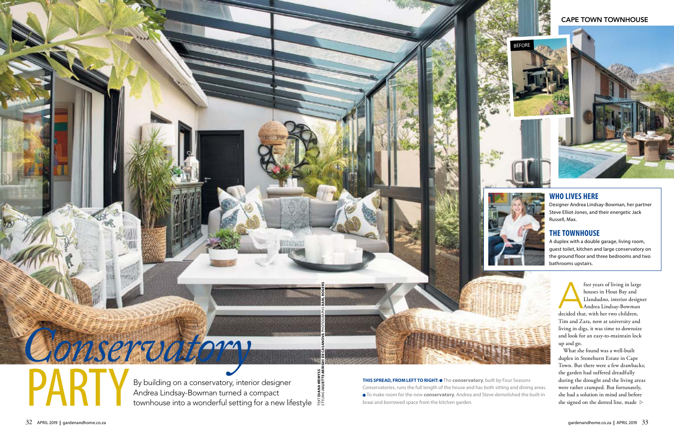PART

 $\mathbf{X}$ 

TEXT **DIANA WEMYSS**

DIANA WEMY<br>ING JULIETTE

By building on a conservatory, interior designer Andrea Lindsay-Bowman turned a compact townhouse into a wonderful setting for a new lifestyle  $\frac{52}{65}$ 

STYLING **JULIETTE ARRIGHI DE CASANOVA** PHOTOGRAPHS **KARL ROGERS**

# *Conservatory*

### CAPE TOWN TOWNHOUSE

# **WHO LIVES HERE**

Designer Andrea Lindsay-Bowman, her partner Steve Elliot-Jones, and their energetic Jack Russell, Max.

fter years of living in large houses in Hout Bay and Llandudno, interior designer Andrea Lindsay-Bowman decided that, with her two children, Tim and Zara, now at university and living in digs, it was time to downsize and look for an easy-to-maintain lock up and go.

What she found was a well-built duplex in Stonehurst Estate in Cape Town. But there were a few drawbacks; the garden had suffered dreadfully during the drought and the living areas were rather cramped. But fortunately, she had a solution in mind and before she signed on the dotted line, made  $\, \triangleright$ 

## **THE TOWNHOUSE**

A duplex with a double garage, living room, guest toilet, kitchen and large conservatory on the ground floor and three bedrooms and two bathrooms upstairs.



**THIS SPREAD, FROM LEFT TO RIGHT: .** The **conservatory**, built by Four Seasons Conservatories, runs the full length of the house and has both sitting and dining areas. To make room for the new **conservatory**, Andrea and Steve demolished the built-in braai and borrowed space from the kitchen garden.





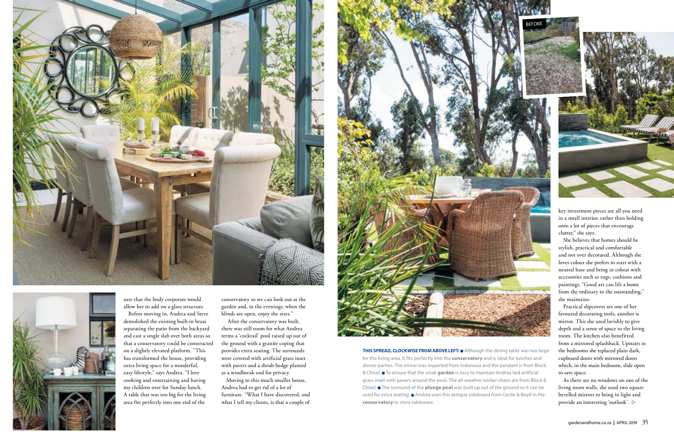



sure that the body corporate would allow her to add on a glass structure.

Before moving in, Andrea and Steve demolished the existing built-in braai separating the patio from the backyard and cast a single slab over both areas so that a conservatory could be constructed on a slightly elevated platform. "This has transformed the house, providing extra living space for a wonderful, easy lifestyle," says Andrea. "I love cooking and entertaining and having my children over for Sunday lunch. A table that was too big for the living area fits perfectly into one end of the

conservatory so we can look out at the garden and, in the evenings, when the blinds are open, enjoy the stars."

 After the conservatory was built, there was still room for what Andrea terms a 'cocktail' pool raised up out of the ground with a granite coping that provides extra seating. The surrounds were covered with artificial grass inset with pavers and a shrub hedge planted as a windbreak and for privacy.

**THIS SPREAD, CLOCKWISE FROM ABOVE LEFT: .** Although the dining table was too large for the living area, it fits perfectly into the **conservatory** and is ideal for lunches and dinner parties. The mirror was imported from Indonesia and the pendant is from Block & Chisel. **•** To ensure that the small garden is easy to maintain Andrea laid artificial grass inset with pavers around the pool. The all-weather wicker chairs are from Block & Chisel.  $\bullet$  The surround of the **plunge pool** was built up out of the ground so it can be used for extra seating.  $\bullet$  Andrea uses this antique sideboard from Cecile & Boyd in the **conservatory** to store tableware.





Moving to this much smaller house, Andrea had to get rid of a lot of furniture. "What I have discovered, and what I tell my clients, is that a couple of



As there are no windows on one of the living room walls, she used two square bevelled mirrors to bring in light and provide an interesting 'outlook'.  $\mathrel{\vartriangleright}$ 

key investment pieces are all you need in a small interior, rather than holding onto a lot of pieces that encourage clutter," she says.

She believes that homes should be stylish, practical and comfortable and not over decorated. Although she loves colour she prefers to start with a neutral base and bring in colour with accessories such as rugs, cushions and paintings. "Good art can lift a home from the ordinary to the outstanding," she maintains.

Practical slipcovers are one of her favoured decorating tools, another is mirror. This she used lavishly to give depth and a sense of space to the living room. The kitchen also benefitted from a mirrored splashback. Upstairs in the bedrooms she replaced plain dark, cupboard doors with mirrored doors which, in the main bedroom, slide open to save space.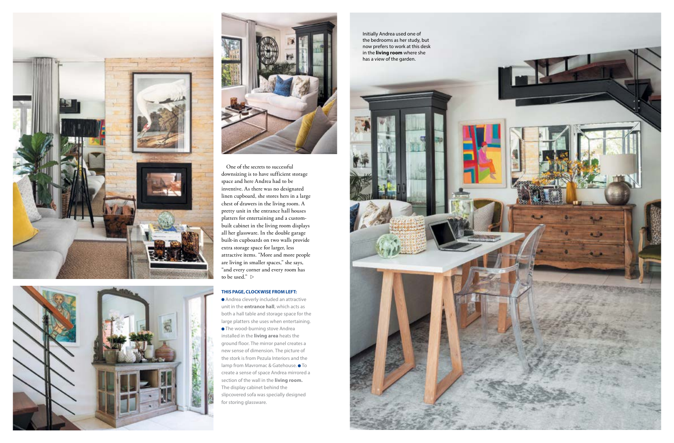



One of the secrets to successful downsizing is to have sufficient storage space and here Andrea had to be inventive. As there was no designated linen cupboard, she stores hers in a large chest of drawers in the living room. A pretty unit in the entrance hall houses platters for entertaining and a custombuilt cabinet in the living room displays all her glassware. In the double garage built-in cupboards on two walls provide extra storage space for larger, less attractive items. "More and more people are living in smaller spaces," she says, "and every corner and every room has to be used."  $\,\vartriangleright\,$ 



### **THIS PAGE, CLOCKWISE FROM LEFT:**

 Andrea cleverly included an attractive unit in the **entrance hall**, which acts as both a hall table and storage space for the large platters she uses when entertaining. The wood-burning stove Andrea installed in the **living area** heats the ground floor. The mirror panel creates a new sense of dimension. The picture of the stork is from Pezula Interiors and the lamp from Mavromac & Gatehouse.  $\bullet$  To create a sense of space Andrea mirrored a section of the wall in the **living room.** The display cabinet behind the slipcovered sofa was specially designed for storing glassware.